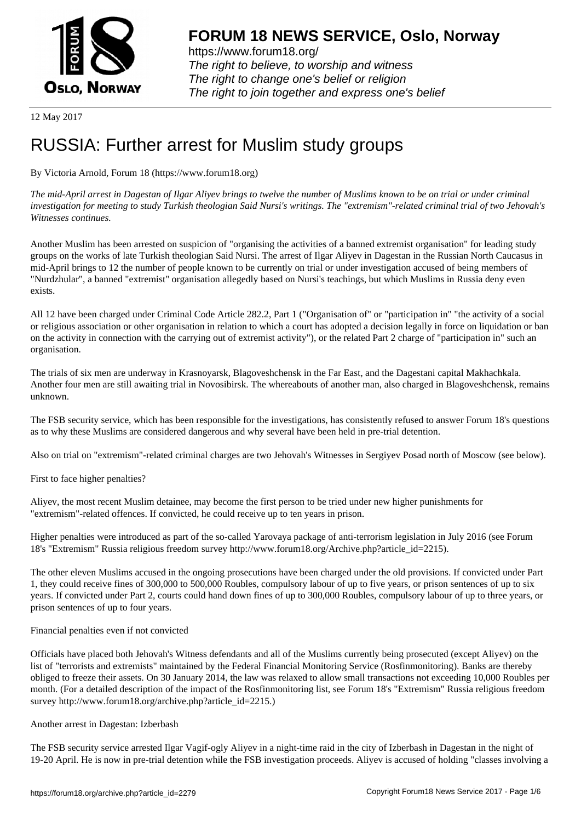

https://www.forum18.org/ The right to believe, to worship and witness The right to change one's belief or religion [The right to join together a](https://www.forum18.org/)nd express one's belief

12 May 2017

# [RUSSIA: Furthe](https://www.forum18.org)r arrest for Muslim study groups

By Victoria Arnold, Forum 18 (https://www.forum18.org)

*The mid-April arrest in Dagestan of Ilgar Aliyev brings to twelve the number of Muslims known to be on trial or under criminal investigation for meeting to study Turkish theologian Said Nursi's writings. The "extremism"-related criminal trial of two Jehovah's Witnesses continues.*

Another Muslim has been arrested on suspicion of "organising the activities of a banned extremist organisation" for leading study groups on the works of late Turkish theologian Said Nursi. The arrest of Ilgar Aliyev in Dagestan in the Russian North Caucasus in mid-April brings to 12 the number of people known to be currently on trial or under investigation accused of being members of "Nurdzhular", a banned "extremist" organisation allegedly based on Nursi's teachings, but which Muslims in Russia deny even exists.

All 12 have been charged under Criminal Code Article 282.2, Part 1 ("Organisation of" or "participation in" "the activity of a social or religious association or other organisation in relation to which a court has adopted a decision legally in force on liquidation or ban on the activity in connection with the carrying out of extremist activity"), or the related Part 2 charge of "participation in" such an organisation.

The trials of six men are underway in Krasnoyarsk, Blagoveshchensk in the Far East, and the Dagestani capital Makhachkala. Another four men are still awaiting trial in Novosibirsk. The whereabouts of another man, also charged in Blagoveshchensk, remains unknown.

The FSB security service, which has been responsible for the investigations, has consistently refused to answer Forum 18's questions as to why these Muslims are considered dangerous and why several have been held in pre-trial detention.

Also on trial on "extremism"-related criminal charges are two Jehovah's Witnesses in Sergiyev Posad north of Moscow (see below).

First to face higher penalties?

Aliyev, the most recent Muslim detainee, may become the first person to be tried under new higher punishments for "extremism"-related offences. If convicted, he could receive up to ten years in prison.

Higher penalties were introduced as part of the so-called Yarovaya package of anti-terrorism legislation in July 2016 (see Forum 18's "Extremism" Russia religious freedom survey http://www.forum18.org/Archive.php?article\_id=2215).

The other eleven Muslims accused in the ongoing prosecutions have been charged under the old provisions. If convicted under Part 1, they could receive fines of 300,000 to 500,000 Roubles, compulsory labour of up to five years, or prison sentences of up to six years. If convicted under Part 2, courts could hand down fines of up to 300,000 Roubles, compulsory labour of up to three years, or prison sentences of up to four years.

Financial penalties even if not convicted

Officials have placed both Jehovah's Witness defendants and all of the Muslims currently being prosecuted (except Aliyev) on the list of "terrorists and extremists" maintained by the Federal Financial Monitoring Service (Rosfinmonitoring). Banks are thereby obliged to freeze their assets. On 30 January 2014, the law was relaxed to allow small transactions not exceeding 10,000 Roubles per month. (For a detailed description of the impact of the Rosfinmonitoring list, see Forum 18's "Extremism" Russia religious freedom survey http://www.forum18.org/archive.php?article\_id=2215.)

### Another arrest in Dagestan: Izberbash

The FSB security service arrested Ilgar Vagif-ogly Aliyev in a night-time raid in the city of Izberbash in Dagestan in the night of 19-20 April. He is now in pre-trial detention while the FSB investigation proceeds. Aliyev is accused of holding "classes involving a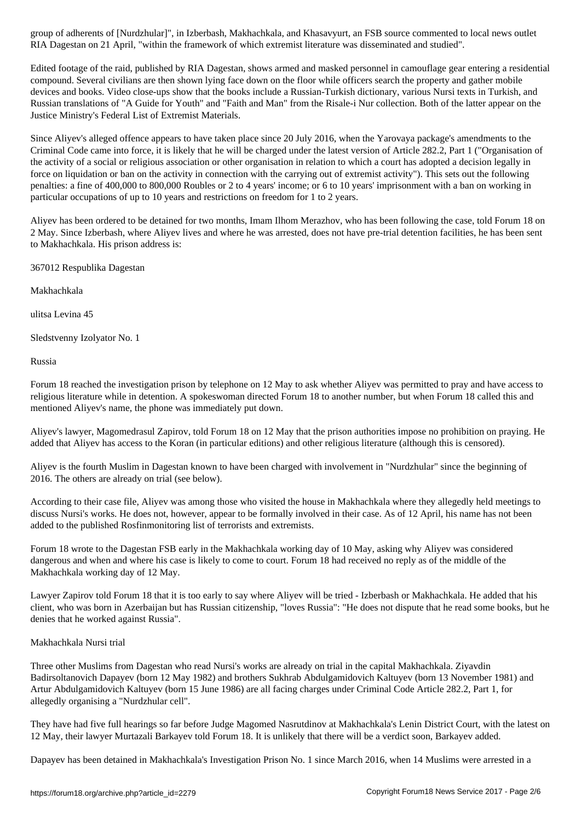RIA Dagestan on 21 April, "within the framework of which extremist literature was disseminated and studied".

Edited footage of the raid, published by RIA Dagestan, shows armed and masked personnel in camouflage gear entering a residential compound. Several civilians are then shown lying face down on the floor while officers search the property and gather mobile devices and books. Video close-ups show that the books include a Russian-Turkish dictionary, various Nursi texts in Turkish, and Russian translations of "A Guide for Youth" and "Faith and Man" from the Risale-i Nur collection. Both of the latter appear on the Justice Ministry's Federal List of Extremist Materials.

Since Aliyev's alleged offence appears to have taken place since 20 July 2016, when the Yarovaya package's amendments to the Criminal Code came into force, it is likely that he will be charged under the latest version of Article 282.2, Part 1 ("Organisation of the activity of a social or religious association or other organisation in relation to which a court has adopted a decision legally in force on liquidation or ban on the activity in connection with the carrying out of extremist activity"). This sets out the following penalties: a fine of 400,000 to 800,000 Roubles or 2 to 4 years' income; or 6 to 10 years' imprisonment with a ban on working in particular occupations of up to 10 years and restrictions on freedom for 1 to 2 years.

Aliyev has been ordered to be detained for two months, Imam Ilhom Merazhov, who has been following the case, told Forum 18 on 2 May. Since Izberbash, where Aliyev lives and where he was arrested, does not have pre-trial detention facilities, he has been sent to Makhachkala. His prison address is:

367012 Respublika Dagestan

Makhachkala

ulitsa Levina 45

Sledstvenny Izolyator No. 1

Russia

Forum 18 reached the investigation prison by telephone on 12 May to ask whether Aliyev was permitted to pray and have access to religious literature while in detention. A spokeswoman directed Forum 18 to another number, but when Forum 18 called this and mentioned Aliyev's name, the phone was immediately put down.

Aliyev's lawyer, Magomedrasul Zapirov, told Forum 18 on 12 May that the prison authorities impose no prohibition on praying. He added that Aliyev has access to the Koran (in particular editions) and other religious literature (although this is censored).

Aliyev is the fourth Muslim in Dagestan known to have been charged with involvement in "Nurdzhular" since the beginning of 2016. The others are already on trial (see below).

According to their case file, Aliyev was among those who visited the house in Makhachkala where they allegedly held meetings to discuss Nursi's works. He does not, however, appear to be formally involved in their case. As of 12 April, his name has not been added to the published Rosfinmonitoring list of terrorists and extremists.

Forum 18 wrote to the Dagestan FSB early in the Makhachkala working day of 10 May, asking why Aliyev was considered dangerous and when and where his case is likely to come to court. Forum 18 had received no reply as of the middle of the Makhachkala working day of 12 May.

Lawyer Zapirov told Forum 18 that it is too early to say where Aliyev will be tried - Izberbash or Makhachkala. He added that his client, who was born in Azerbaijan but has Russian citizenship, "loves Russia": "He does not dispute that he read some books, but he denies that he worked against Russia".

### Makhachkala Nursi trial

Three other Muslims from Dagestan who read Nursi's works are already on trial in the capital Makhachkala. Ziyavdin Badirsoltanovich Dapayev (born 12 May 1982) and brothers Sukhrab Abdulgamidovich Kaltuyev (born 13 November 1981) and Artur Abdulgamidovich Kaltuyev (born 15 June 1986) are all facing charges under Criminal Code Article 282.2, Part 1, for allegedly organising a "Nurdzhular cell".

They have had five full hearings so far before Judge Magomed Nasrutdinov at Makhachkala's Lenin District Court, with the latest on 12 May, their lawyer Murtazali Barkayev told Forum 18. It is unlikely that there will be a verdict soon, Barkayev added.

Dapayev has been detained in Makhachkala's Investigation Prison No. 1 since March 2016, when 14 Muslims were arrested in a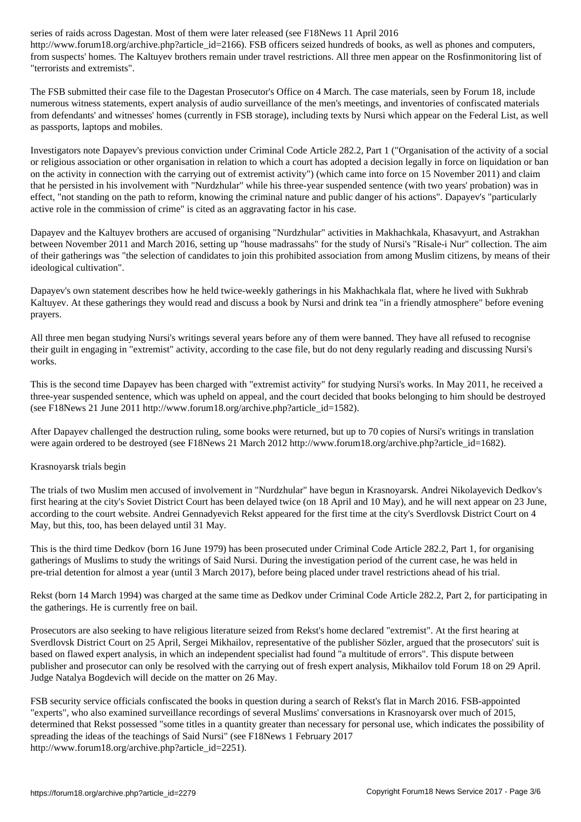http://www.forumlar.com/article\_id=21660. FSB of books, as well as phones and computers of books, as  $\rho$ from suspects' homes. The Kaltuyev brothers remain under travel restrictions. All three men appear on the Rosfinmonitoring list of "terrorists and extremists".

The FSB submitted their case file to the Dagestan Prosecutor's Office on 4 March. The case materials, seen by Forum 18, include numerous witness statements, expert analysis of audio surveillance of the men's meetings, and inventories of confiscated materials from defendants' and witnesses' homes (currently in FSB storage), including texts by Nursi which appear on the Federal List, as well as passports, laptops and mobiles.

Investigators note Dapayev's previous conviction under Criminal Code Article 282.2, Part 1 ("Organisation of the activity of a social or religious association or other organisation in relation to which a court has adopted a decision legally in force on liquidation or ban on the activity in connection with the carrying out of extremist activity") (which came into force on 15 November 2011) and claim that he persisted in his involvement with "Nurdzhular" while his three-year suspended sentence (with two years' probation) was in effect, "not standing on the path to reform, knowing the criminal nature and public danger of his actions". Dapayev's "particularly active role in the commission of crime" is cited as an aggravating factor in his case.

Dapayev and the Kaltuyev brothers are accused of organising "Nurdzhular" activities in Makhachkala, Khasavyurt, and Astrakhan between November 2011 and March 2016, setting up "house madrassahs" for the study of Nursi's "Risale-i Nur" collection. The aim of their gatherings was "the selection of candidates to join this prohibited association from among Muslim citizens, by means of their ideological cultivation".

Dapayev's own statement describes how he held twice-weekly gatherings in his Makhachkala flat, where he lived with Sukhrab Kaltuyev. At these gatherings they would read and discuss a book by Nursi and drink tea "in a friendly atmosphere" before evening prayers.

All three men began studying Nursi's writings several years before any of them were banned. They have all refused to recognise their guilt in engaging in "extremist" activity, according to the case file, but do not deny regularly reading and discussing Nursi's works.

This is the second time Dapayev has been charged with "extremist activity" for studying Nursi's works. In May 2011, he received a three-year suspended sentence, which was upheld on appeal, and the court decided that books belonging to him should be destroyed (see F18News 21 June 2011 http://www.forum18.org/archive.php?article\_id=1582).

After Dapayev challenged the destruction ruling, some books were returned, but up to 70 copies of Nursi's writings in translation were again ordered to be destroyed (see F18News 21 March 2012 http://www.forum18.org/archive.php?article\_id=1682).

### Krasnoyarsk trials begin

The trials of two Muslim men accused of involvement in "Nurdzhular" have begun in Krasnoyarsk. Andrei Nikolayevich Dedkov's first hearing at the city's Soviet District Court has been delayed twice (on 18 April and 10 May), and he will next appear on 23 June, according to the court website. Andrei Gennadyevich Rekst appeared for the first time at the city's Sverdlovsk District Court on 4 May, but this, too, has been delayed until 31 May.

This is the third time Dedkov (born 16 June 1979) has been prosecuted under Criminal Code Article 282.2, Part 1, for organising gatherings of Muslims to study the writings of Said Nursi. During the investigation period of the current case, he was held in pre-trial detention for almost a year (until 3 March 2017), before being placed under travel restrictions ahead of his trial.

Rekst (born 14 March 1994) was charged at the same time as Dedkov under Criminal Code Article 282.2, Part 2, for participating in the gatherings. He is currently free on bail.

Prosecutors are also seeking to have religious literature seized from Rekst's home declared "extremist". At the first hearing at Sverdlovsk District Court on 25 April, Sergei Mikhailov, representative of the publisher Sözler, argued that the prosecutors' suit is based on flawed expert analysis, in which an independent specialist had found "a multitude of errors". This dispute between publisher and prosecutor can only be resolved with the carrying out of fresh expert analysis, Mikhailov told Forum 18 on 29 April. Judge Natalya Bogdevich will decide on the matter on 26 May.

FSB security service officials confiscated the books in question during a search of Rekst's flat in March 2016. FSB-appointed "experts", who also examined surveillance recordings of several Muslims' conversations in Krasnoyarsk over much of 2015, determined that Rekst possessed "some titles in a quantity greater than necessary for personal use, which indicates the possibility of spreading the ideas of the teachings of Said Nursi" (see F18News 1 February 2017 http://www.forum18.org/archive.php?article\_id=2251).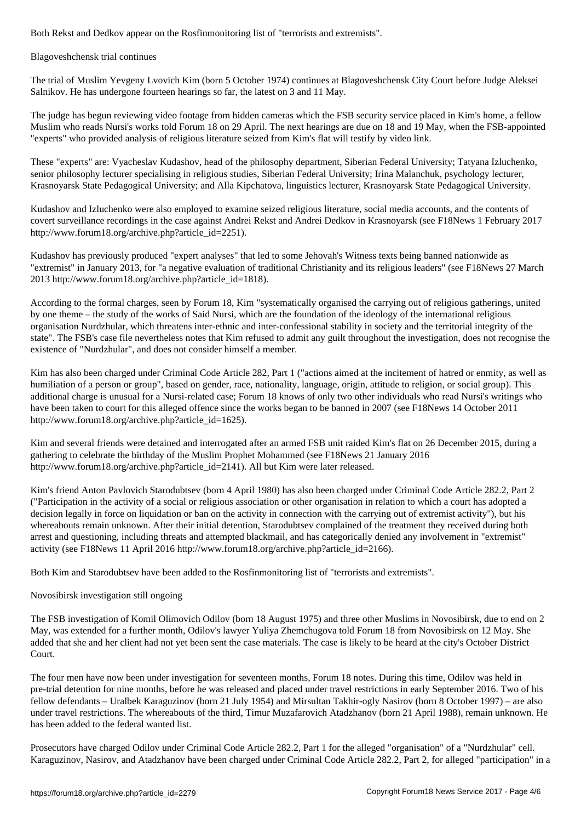Blagoveshchensk trial continues

The trial of Muslim Yevgeny Lvovich Kim (born 5 October 1974) continues at Blagoveshchensk City Court before Judge Aleksei Salnikov. He has undergone fourteen hearings so far, the latest on 3 and 11 May.

The judge has begun reviewing video footage from hidden cameras which the FSB security service placed in Kim's home, a fellow Muslim who reads Nursi's works told Forum 18 on 29 April. The next hearings are due on 18 and 19 May, when the FSB-appointed "experts" who provided analysis of religious literature seized from Kim's flat will testify by video link.

These "experts" are: Vyacheslav Kudashov, head of the philosophy department, Siberian Federal University; Tatyana Izluchenko, senior philosophy lecturer specialising in religious studies, Siberian Federal University; Irina Malanchuk, psychology lecturer, Krasnoyarsk State Pedagogical University; and Alla Kipchatova, linguistics lecturer, Krasnoyarsk State Pedagogical University.

Kudashov and Izluchenko were also employed to examine seized religious literature, social media accounts, and the contents of covert surveillance recordings in the case against Andrei Rekst and Andrei Dedkov in Krasnoyarsk (see F18News 1 February 2017 http://www.forum18.org/archive.php?article\_id=2251).

Kudashov has previously produced "expert analyses" that led to some Jehovah's Witness texts being banned nationwide as "extremist" in January 2013, for "a negative evaluation of traditional Christianity and its religious leaders" (see F18News 27 March 2013 http://www.forum18.org/archive.php?article\_id=1818).

According to the formal charges, seen by Forum 18, Kim "systematically organised the carrying out of religious gatherings, united by one theme – the study of the works of Said Nursi, which are the foundation of the ideology of the international religious organisation Nurdzhular, which threatens inter-ethnic and inter-confessional stability in society and the territorial integrity of the state". The FSB's case file nevertheless notes that Kim refused to admit any guilt throughout the investigation, does not recognise the existence of "Nurdzhular", and does not consider himself a member.

Kim has also been charged under Criminal Code Article 282, Part 1 ("actions aimed at the incitement of hatred or enmity, as well as humiliation of a person or group", based on gender, race, nationality, language, origin, attitude to religion, or social group). This additional charge is unusual for a Nursi-related case; Forum 18 knows of only two other individuals who read Nursi's writings who have been taken to court for this alleged offence since the works began to be banned in 2007 (see F18News 14 October 2011 http://www.forum18.org/archive.php?article\_id=1625).

Kim and several friends were detained and interrogated after an armed FSB unit raided Kim's flat on 26 December 2015, during a gathering to celebrate the birthday of the Muslim Prophet Mohammed (see F18News 21 January 2016 http://www.forum18.org/archive.php?article\_id=2141). All but Kim were later released.

Kim's friend Anton Pavlovich Starodubtsev (born 4 April 1980) has also been charged under Criminal Code Article 282.2, Part 2 ("Participation in the activity of a social or religious association or other organisation in relation to which a court has adopted a decision legally in force on liquidation or ban on the activity in connection with the carrying out of extremist activity"), but his whereabouts remain unknown. After their initial detention, Starodubtsev complained of the treatment they received during both arrest and questioning, including threats and attempted blackmail, and has categorically denied any involvement in "extremist" activity (see F18News 11 April 2016 http://www.forum18.org/archive.php?article\_id=2166).

Both Kim and Starodubtsev have been added to the Rosfinmonitoring list of "terrorists and extremists".

## Novosibirsk investigation still ongoing

The FSB investigation of Komil Olimovich Odilov (born 18 August 1975) and three other Muslims in Novosibirsk, due to end on 2 May, was extended for a further month, Odilov's lawyer Yuliya Zhemchugova told Forum 18 from Novosibirsk on 12 May. She added that she and her client had not yet been sent the case materials. The case is likely to be heard at the city's October District Court.

The four men have now been under investigation for seventeen months, Forum 18 notes. During this time, Odilov was held in pre-trial detention for nine months, before he was released and placed under travel restrictions in early September 2016. Two of his fellow defendants – Uralbek Karaguzinov (born 21 July 1954) and Mirsultan Takhir-ogly Nasirov (born 8 October 1997) – are also under travel restrictions. The whereabouts of the third, Timur Muzafarovich Atadzhanov (born 21 April 1988), remain unknown. He has been added to the federal wanted list.

Prosecutors have charged Odilov under Criminal Code Article 282.2, Part 1 for the alleged "organisation" of a "Nurdzhular" cell. Karaguzinov, Nasirov, and Atadzhanov have been charged under Criminal Code Article 282.2, Part 2, for alleged "participation" in a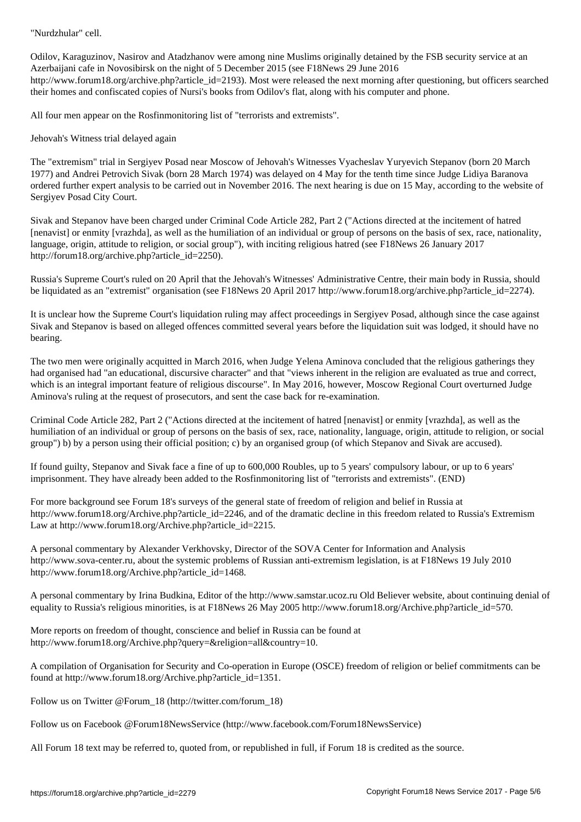Odilov, Karaguzinov, Nasirov and Atadzhanov were among nine Muslims originally detained by the FSB security service at an Azerbaijani cafe in Novosibirsk on the night of 5 December 2015 (see F18News 29 June 2016 http://www.forum18.org/archive.php?article\_id=2193). Most were released the next morning after questioning, but officers searched their homes and confiscated copies of Nursi's books from Odilov's flat, along with his computer and phone.

All four men appear on the Rosfinmonitoring list of "terrorists and extremists".

Jehovah's Witness trial delayed again

The "extremism" trial in Sergiyev Posad near Moscow of Jehovah's Witnesses Vyacheslav Yuryevich Stepanov (born 20 March 1977) and Andrei Petrovich Sivak (born 28 March 1974) was delayed on 4 May for the tenth time since Judge Lidiya Baranova ordered further expert analysis to be carried out in November 2016. The next hearing is due on 15 May, according to the website of Sergiyev Posad City Court.

Sivak and Stepanov have been charged under Criminal Code Article 282, Part 2 ("Actions directed at the incitement of hatred [nenavist] or enmity [vrazhda], as well as the humiliation of an individual or group of persons on the basis of sex, race, nationality, language, origin, attitude to religion, or social group"), with inciting religious hatred (see F18News 26 January 2017 http://forum18.org/archive.php?article\_id=2250).

Russia's Supreme Court's ruled on 20 April that the Jehovah's Witnesses' Administrative Centre, their main body in Russia, should be liquidated as an "extremist" organisation (see F18News 20 April 2017 http://www.forum18.org/archive.php?article\_id=2274).

It is unclear how the Supreme Court's liquidation ruling may affect proceedings in Sergiyev Posad, although since the case against Sivak and Stepanov is based on alleged offences committed several years before the liquidation suit was lodged, it should have no bearing.

The two men were originally acquitted in March 2016, when Judge Yelena Aminova concluded that the religious gatherings they had organised had "an educational, discursive character" and that "views inherent in the religion are evaluated as true and correct, which is an integral important feature of religious discourse". In May 2016, however, Moscow Regional Court overturned Judge Aminova's ruling at the request of prosecutors, and sent the case back for re-examination.

Criminal Code Article 282, Part 2 ("Actions directed at the incitement of hatred [nenavist] or enmity [vrazhda], as well as the humiliation of an individual or group of persons on the basis of sex, race, nationality, language, origin, attitude to religion, or social group") b) by a person using their official position; c) by an organised group (of which Stepanov and Sivak are accused).

If found guilty, Stepanov and Sivak face a fine of up to 600,000 Roubles, up to 5 years' compulsory labour, or up to 6 years' imprisonment. They have already been added to the Rosfinmonitoring list of "terrorists and extremists". (END)

For more background see Forum 18's surveys of the general state of freedom of religion and belief in Russia at http://www.forum18.org/Archive.php?article\_id=2246, and of the dramatic decline in this freedom related to Russia's Extremism Law at http://www.forum18.org/Archive.php?article\_id=2215.

A personal commentary by Alexander Verkhovsky, Director of the SOVA Center for Information and Analysis http://www.sova-center.ru, about the systemic problems of Russian anti-extremism legislation, is at F18News 19 July 2010 http://www.forum18.org/Archive.php?article\_id=1468.

A personal commentary by Irina Budkina, Editor of the http://www.samstar.ucoz.ru Old Believer website, about continuing denial of equality to Russia's religious minorities, is at F18News 26 May 2005 http://www.forum18.org/Archive.php?article\_id=570.

More reports on freedom of thought, conscience and belief in Russia can be found at http://www.forum18.org/Archive.php?query=&religion=all&country=10.

A compilation of Organisation for Security and Co-operation in Europe (OSCE) freedom of religion or belief commitments can be found at http://www.forum18.org/Archive.php?article\_id=1351.

Follow us on Twitter @Forum\_18 (http://twitter.com/forum\_18)

Follow us on Facebook @Forum18NewsService (http://www.facebook.com/Forum18NewsService)

All Forum 18 text may be referred to, quoted from, or republished in full, if Forum 18 is credited as the source.